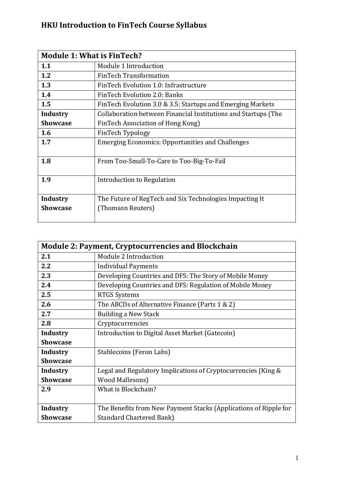## **HKU Introduction to FinTech Course Syllabus**

| <b>Module 1: What is FinTech?</b> |                                                                |  |
|-----------------------------------|----------------------------------------------------------------|--|
| 1.1                               | Module 1 Introduction                                          |  |
| 1.2                               | <b>FinTech Transformation</b>                                  |  |
| 1.3                               | FinTech Evolution 1.0: Infrastructure                          |  |
| 1.4                               | FinTech Evolution 2.0: Banks                                   |  |
| 1.5                               | FinTech Evolution 3.0 & 3.5: Startups and Emerging Markets     |  |
| <b>Industry</b>                   | Collaboration between Financial Institutions and Startups (The |  |
| <b>Showcase</b>                   | FinTech Association of Hong Kong)                              |  |
| 1.6                               | FinTech Typology                                               |  |
| 1.7                               | <b>Emerging Economics: Opportunities and Challenges</b>        |  |
| 1.8                               | From Too-Small-To-Care to Too-Big-To-Fail                      |  |
| 1.9                               | Introduction to Regulation                                     |  |
| <b>Industry</b>                   | The Future of RegTech and Six Technologies Impacting It        |  |
| <b>Showcase</b>                   | (Thomson Reuters)                                              |  |

| <b>Module 2: Payment, Cryptocurrencies and Blockchain</b> |                                                                  |  |
|-----------------------------------------------------------|------------------------------------------------------------------|--|
| 2.1                                                       | Module 2 Introduction                                            |  |
| 2.2                                                       | <b>Individual Payments</b>                                       |  |
| 2.3                                                       | Developing Countries and DFS: The Story of Mobile Money          |  |
| 2.4                                                       | Developing Countries and DFS: Regulation of Mobile Money         |  |
| 2.5                                                       | <b>RTGS Systems</b>                                              |  |
| 2.6                                                       | The ABCDs of Alternative Finance (Parts 1 & 2)                   |  |
| 2.7                                                       | <b>Building a New Stack</b>                                      |  |
| 2.8                                                       | Cryptocurrencies                                                 |  |
| Industry                                                  | Introduction to Digital Asset Market (Gatecoin)                  |  |
| <b>Showcase</b>                                           |                                                                  |  |
| <b>Industry</b>                                           | Stablecoins (Feron Labs)                                         |  |
| <b>Showcase</b>                                           |                                                                  |  |
| <b>Industry</b>                                           | Legal and Regulatory Implications of Cryptocurrencies (King &    |  |
| <b>Showcase</b>                                           | <b>Wood Mallesons)</b>                                           |  |
| 2.9                                                       | What is Blockchain?                                              |  |
|                                                           |                                                                  |  |
| <b>Industry</b>                                           | The Benefits from New Payment Stacks (Applications of Ripple for |  |
| <b>Showcase</b>                                           | <b>Standard Chartered Bank)</b>                                  |  |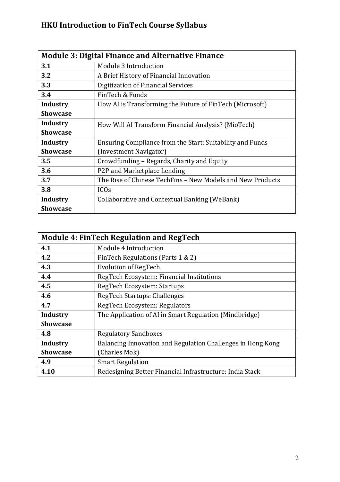## **HKU Introduction to FinTech Course Syllabus**

| <b>Module 3: Digital Finance and Alternative Finance</b> |                                                            |  |
|----------------------------------------------------------|------------------------------------------------------------|--|
| 3.1                                                      | Module 3 Introduction                                      |  |
| 3.2                                                      | A Brief History of Financial Innovation                    |  |
| 3.3                                                      | Digitization of Financial Services                         |  |
| 3.4                                                      | FinTech & Funds                                            |  |
| <b>Industry</b>                                          | How AI is Transforming the Future of FinTech (Microsoft)   |  |
| <b>Showcase</b>                                          |                                                            |  |
| Industry                                                 | How Will AI Transform Financial Analysis? (MioTech)        |  |
| <b>Showcase</b>                                          |                                                            |  |
| <b>Industry</b>                                          | Ensuring Compliance from the Start: Suitability and Funds  |  |
| <b>Showcase</b>                                          | (Investment Navigator)                                     |  |
| 3.5                                                      | Crowdfunding - Regards, Charity and Equity                 |  |
| 3.6                                                      | P2P and Marketplace Lending                                |  |
| 3.7                                                      | The Rise of Chinese TechFins - New Models and New Products |  |
| 3.8                                                      | ICO <sub>s</sub>                                           |  |
| <b>Industry</b>                                          | Collaborative and Contextual Banking (WeBank)              |  |
| <b>Showcase</b>                                          |                                                            |  |

| <b>Module 4: FinTech Regulation and RegTech</b> |                                                             |  |
|-------------------------------------------------|-------------------------------------------------------------|--|
| 4.1                                             | Module 4 Introduction                                       |  |
| 4.2                                             | FinTech Regulations (Parts 1 & 2)                           |  |
| 4.3                                             | <b>Evolution of RegTech</b>                                 |  |
| 4.4                                             | RegTech Ecosystem: Financial Institutions                   |  |
| 4.5                                             | RegTech Ecosystem: Startups                                 |  |
| 4.6                                             | RegTech Startups: Challenges                                |  |
| 4.7                                             | RegTech Ecosystem: Regulators                               |  |
| Industry                                        | The Application of AI in Smart Regulation (Mindbridge)      |  |
| <b>Showcase</b>                                 |                                                             |  |
| 4.8                                             | <b>Regulatory Sandboxes</b>                                 |  |
| Industry                                        | Balancing Innovation and Regulation Challenges in Hong Kong |  |
| <b>Showcase</b>                                 | (Charles Mok)                                               |  |
| 4.9                                             | <b>Smart Regulation</b>                                     |  |
| 4.10                                            | Redesigning Better Financial Infrastructure: India Stack    |  |